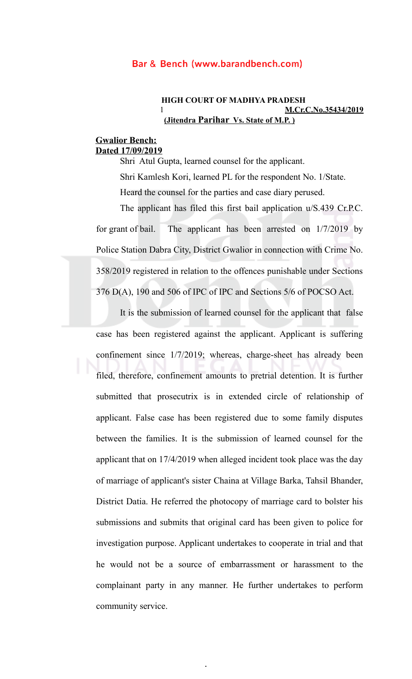# **HIGH COURT OF MADHYA PRADESH** 1 **M.Cr.C.No.35434/2019 (Jitendra Parihar Vs. State of M.P. )**

# **Gwalior Bench: Dated 17/09/2019**

Shri Atul Gupta, learned counsel for the applicant. Shri Kamlesh Kori, learned PL for the respondent No. 1/State. Heard the counsel for the parties and case diary perused.

The applicant has filed this first bail application u/S.439 Cr.P.C. for grant of bail. The applicant has been arrested on 1/7/2019 by Police Station Dabra City, District Gwalior in connection with Crime No. 358/2019 registered in relation to the offences punishable under Sections 376 D(A), 190 and 506 of IPC of IPC and Sections 5/6 of POCSO Act.

It is the submission of learned counsel for the applicant that false case has been registered against the applicant. Applicant is suffering confinement since 1/7/2019; whereas, charge-sheet has already been filed, therefore, confinement amounts to pretrial detention. It is further submitted that prosecutrix is in extended circle of relationship of applicant. False case has been registered due to some family disputes between the families. It is the submission of learned counsel for the applicant that on 17/4/2019 when alleged incident took place was the day of marriage of applicant's sister Chaina at Village Barka, Tahsil Bhander, District Datia. He referred the photocopy of marriage card to bolster his submissions and submits that original card has been given to police for investigation purpose. Applicant undertakes to cooperate in trial and that he would not be a source of embarrassment or harassment to the complainant party in any manner. He further undertakes to perform community service.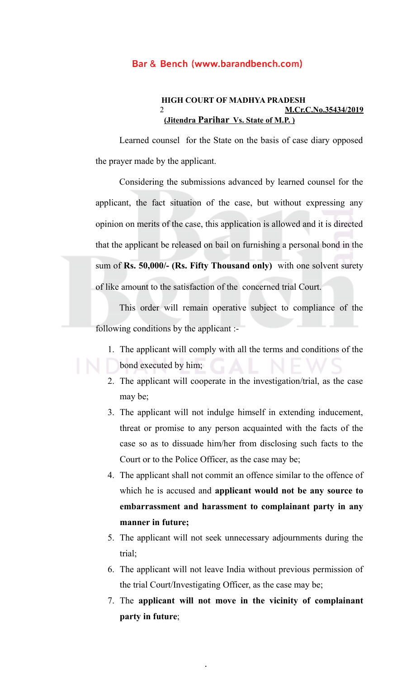#### **HIGH COURT OF MADHYA PRADESH** 2 **M.Cr.C.No.35434/2019 (Jitendra Parihar Vs. State of M.P. )**

Learned counsel for the State on the basis of case diary opposed the prayer made by the applicant.

Considering the submissions advanced by learned counsel for the applicant, the fact situation of the case, but without expressing any opinion on merits of the case, this application is allowed and it is directed that the applicant be released on bail on furnishing a personal bond in the sum of **Rs. 50,000/- (Rs. Fifty Thousand only)** with one solvent surety of like amount to the satisfaction of the concerned trial Court.

This order will remain operative subject to compliance of the following conditions by the applicant :-

- 1. The applicant will comply with all the terms and conditions of the bond executed by him;
- 2. The applicant will cooperate in the investigation/trial, as the case may be;
- 3. The applicant will not indulge himself in extending inducement, threat or promise to any person acquainted with the facts of the case so as to dissuade him/her from disclosing such facts to the Court or to the Police Officer, as the case may be;
- 4. The applicant shall not commit an offence similar to the offence of which he is accused and **applicant would not be any source to embarrassment and harassment to complainant party in any manner in future;**
- 5. The applicant will not seek unnecessary adjournments during the trial;
- 6. The applicant will not leave India without previous permission of the trial Court/Investigating Officer, as the case may be;
- 7. The **applicant will not move in the vicinity of complainant party in future**;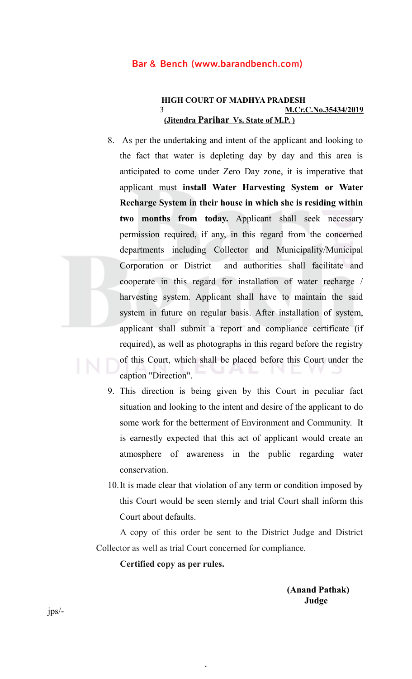# **HIGH COURT OF MADHYA PRADESH** 3 **M.Cr.C.No.35434/2019 (Jitendra Parihar Vs. State of M.P. )**

- 8. As per the undertaking and intent of the applicant and looking to the fact that water is depleting day by day and this area is anticipated to come under Zero Day zone, it is imperative that applicant must **install Water Harvesting System or Water Recharge System in their house in which she is residing within two months from today.** Applicant shall seek necessary permission required, if any, in this regard from the concerned departments including Collector and Municipality/Municipal Corporation or District and authorities shall facilitate and cooperate in this regard for installation of water recharge / harvesting system. Applicant shall have to maintain the said system in future on regular basis. After installation of system, applicant shall submit a report and compliance certificate (if required), as well as photographs in this regard before the registry of this Court, which shall be placed before this Court under the caption "Direction".
- 9. This direction is being given by this Court in peculiar fact situation and looking to the intent and desire of the applicant to do some work for the betterment of Environment and Community. It is earnestly expected that this act of applicant would create an atmosphere of awareness in the public regarding water conservation.
- 10.It is made clear that violation of any term or condition imposed by this Court would be seen sternly and trial Court shall inform this Court about defaults.

A copy of this order be sent to the District Judge and District Collector as well as trial Court concerned for compliance.

.

**Certified copy as per rules.**

**(Anand Pathak) Judge**

jps/-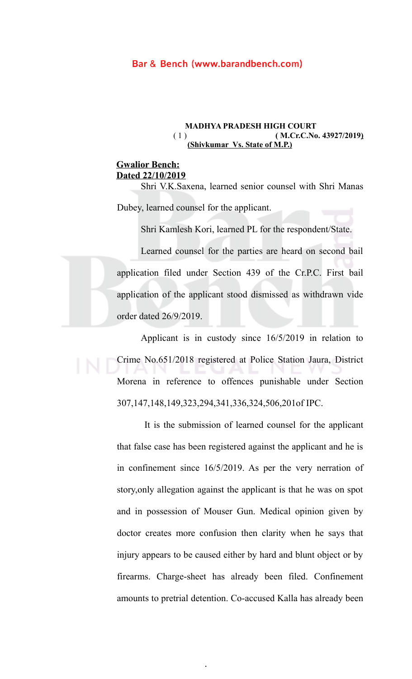#### **MADHYA PRADESH HIGH COURT**<br>**(1) (M.Cr.C.No** ( 1 ) **( M.Cr.C.No. 43927/2019) (Shivkumar Vs. State of M.P.)**

# **Gwalior Bench: Dated 22/10/2019**

Shri V.K.Saxena, learned senior counsel with Shri Manas Dubey, learned counsel for the applicant.

Shri Kamlesh Kori, learned PL for the respondent/State.

Learned counsel for the parties are heard on second bail application filed under Section 439 of the Cr.P.C. First bail application of the applicant stood dismissed as withdrawn vide order dated 26/9/2019.

Applicant is in custody since 16/5/2019 in relation to Crime No.651/2018 registered at Police Station Jaura, District Morena in reference to offences punishable under Section 307,147,148,149,323,294,341,336,324,506,201of IPC.

 It is the submission of learned counsel for the applicant that false case has been registered against the applicant and he is in confinement since 16/5/2019. As per the very nerration of story,only allegation against the applicant is that he was on spot and in possession of Mouser Gun. Medical opinion given by doctor creates more confusion then clarity when he says that injury appears to be caused either by hard and blunt object or by firearms. Charge-sheet has already been filed. Confinement amounts to pretrial detention. Co-accused Kalla has already been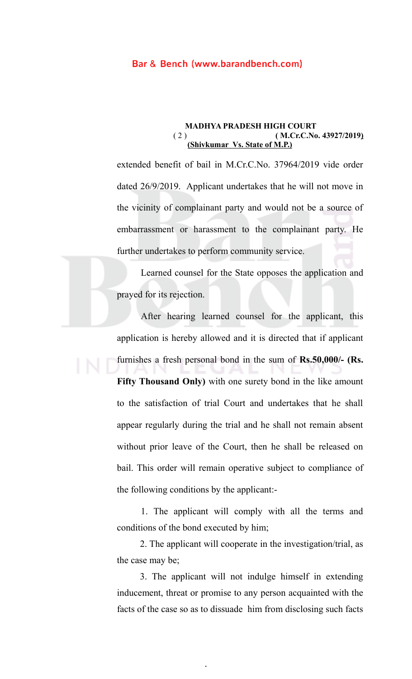#### **MADHYA PRADESH HIGH COURT** ( 2 ) **( M.Cr.C.No. 43927/2019) (Shivkumar Vs. State of M.P.)**

extended benefit of bail in M.Cr.C.No. 37964/2019 vide order dated 26/9/2019. Applicant undertakes that he will not move in the vicinity of complainant party and would not be a source of embarrassment or harassment to the complainant party. He further undertakes to perform community service.

Learned counsel for the State opposes the application and prayed for its rejection.

After hearing learned counsel for the applicant, this application is hereby allowed and it is directed that if applicant furnishes a fresh personal bond in the sum of **Rs.50,000/- (Rs. Fifty Thousand Only)** with one surety bond in the like amount to the satisfaction of trial Court and undertakes that he shall appear regularly during the trial and he shall not remain absent without prior leave of the Court, then he shall be released on bail. This order will remain operative subject to compliance of the following conditions by the applicant:-

1. The applicant will comply with all the terms and conditions of the bond executed by him;

2. The applicant will cooperate in the investigation/trial, as the case may be;

3. The applicant will not indulge himself in extending inducement, threat or promise to any person acquainted with the facts of the case so as to dissuade him from disclosing such facts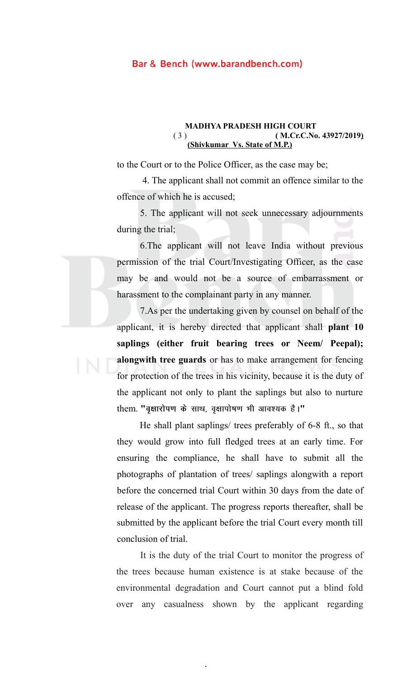#### **MADHYA PRADESH HIGH COURT** ( 3 ) **( M.Cr.C.No. 43927/2019) (Shivkumar Vs. State of M.P.)**

to the Court or to the Police Officer, as the case may be;

4. The applicant shall not commit an offence similar to the offence of which he is accused;

5. The applicant will not seek unnecessary adjournments during the trial;

6.The applicant will not leave India without previous permission of the trial Court/Investigating Officer, as the case may be and would not be a source of embarrassment or harassment to the complainant party in any manner.

7.As per the undertaking given by counsel on behalf of the applicant, it is hereby directed that applicant shall **plant 10 saplings (either fruit bearing trees or Neem/ Peepal); alongwith tree guards** or has to make arrangement for fencing for protection of the trees in his vicinity, because it is the duty of the applicant not only to plant the saplings but also to nurture them. "वृक्षारोपण के साथ, वृक्षापोषण भी आवश्यक है।"

 He shall plant saplings/ trees preferably of 6-8 ft., so that they would grow into full fledged trees at an early time. For ensuring the compliance, he shall have to submit all the photographs of plantation of trees/ saplings alongwith a report before the concerned trial Court within 30 days from the date of release of the applicant. The progress reports thereafter, shall be submitted by the applicant before the trial Court every month till conclusion of trial.

It is the duty of the trial Court to monitor the progress of the trees because human existence is at stake because of the environmental degradation and Court cannot put a blind fold over any casualness shown by the applicant regarding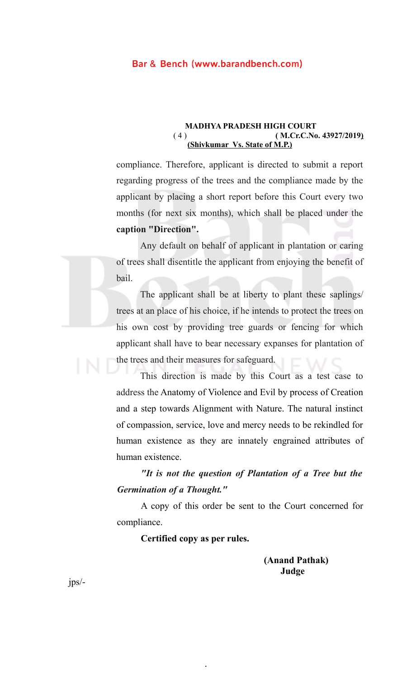#### **MADHYA PRADESH HIGH COURT** ( 4 ) **( M.Cr.C.No. 43927/2019) (Shivkumar Vs. State of M.P.)**

compliance. Therefore, applicant is directed to submit a report regarding progress of the trees and the compliance made by the applicant by placing a short report before this Court every two months (for next six months), which shall be placed under the **caption "Direction".**

Any default on behalf of applicant in plantation or caring of trees shall disentitle the applicant from enjoying the benefit of bail.

The applicant shall be at liberty to plant these saplings/ trees at an place of his choice, if he intends to protect the trees on his own cost by providing tree guards or fencing for which applicant shall have to bear necessary expanses for plantation of the trees and their measures for safeguard.

This direction is made by this Court as a test case to address the Anatomy of Violence and Evil by process of Creation and a step towards Alignment with Nature. The natural instinct of compassion, service, love and mercy needs to be rekindled for human existence as they are innately engrained attributes of human existence.

*"It is not the question of Plantation of a Tree but the Germination of a Thought."*

A copy of this order be sent to the Court concerned for compliance.

**Certified copy as per rules.**

.

 **(Anand Pathak) Judge**

jps/-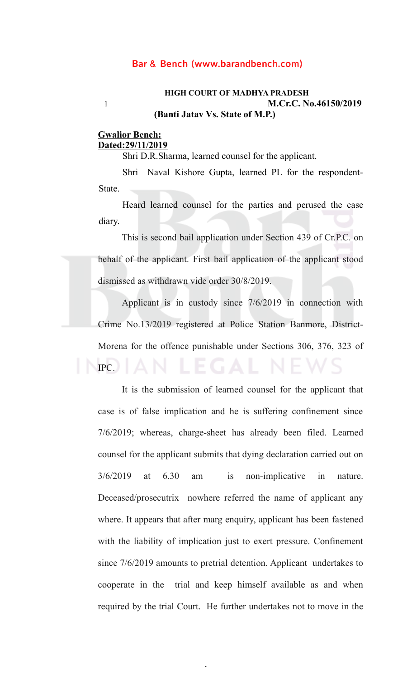# **HIGH COURT OF MADHYA PRADESH** 1 **M.Cr.C. No.46150/2019 (Banti Jatav Vs. State of M.P.)**

# **Gwalior Bench: Dated:29/11/2019**

Shri D.R.Sharma, learned counsel for the applicant.

Shri Naval Kishore Gupta, learned PL for the respondent-State.

Heard learned counsel for the parties and perused the case diary.

This is second bail application under Section 439 of Cr.P.C. on behalf of the applicant. First bail application of the applicant stood dismissed as withdrawn vide order 30/8/2019.

Applicant is in custody since 7/6/2019 in connection with Crime No.13/2019 registered at Police Station Banmore, District-Morena for the offence punishable under Sections 306, 376, 323 of IPC.

It is the submission of learned counsel for the applicant that case is of false implication and he is suffering confinement since 7/6/2019; whereas, charge-sheet has already been filed. Learned counsel for the applicant submits that dying declaration carried out on 3/6/2019 at 6.30 am is non-implicative in nature. Deceased/prosecutrix nowhere referred the name of applicant any where. It appears that after marg enquiry, applicant has been fastened with the liability of implication just to exert pressure. Confinement since 7/6/2019 amounts to pretrial detention. Applicant undertakes to cooperate in the trial and keep himself available as and when required by the trial Court. He further undertakes not to move in the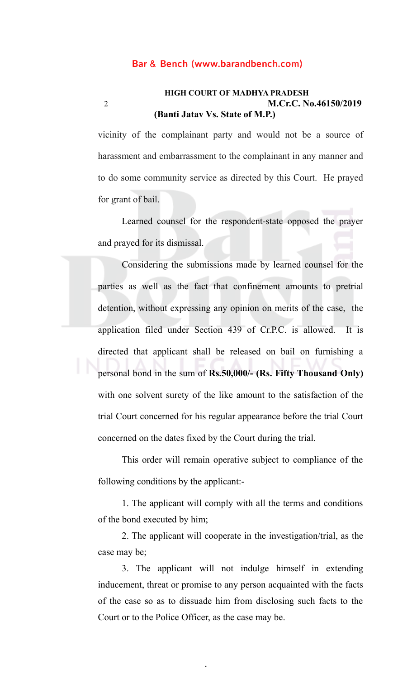# **HIGH COURT OF MADHYA PRADESH** 2 **M.Cr.C. No.46150/2019 (Banti Jatav Vs. State of M.P.)**

vicinity of the complainant party and would not be a source of harassment and embarrassment to the complainant in any manner and to do some community service as directed by this Court. He prayed for grant of bail.

Learned counsel for the respondent-state opposed the prayer and prayed for its dismissal.

Considering the submissions made by learned counsel for the parties as well as the fact that confinement amounts to pretrial detention, without expressing any opinion on merits of the case, the application filed under Section 439 of Cr.P.C. is allowed. It is directed that applicant shall be released on bail on furnishing a personal bond in the sum of **Rs.50,000/- (Rs. Fifty Thousand Only)** with one solvent surety of the like amount to the satisfaction of the trial Court concerned for his regular appearance before the trial Court concerned on the dates fixed by the Court during the trial.

This order will remain operative subject to compliance of the following conditions by the applicant:-

1. The applicant will comply with all the terms and conditions of the bond executed by him;

2. The applicant will cooperate in the investigation/trial, as the case may be;

3. The applicant will not indulge himself in extending inducement, threat or promise to any person acquainted with the facts of the case so as to dissuade him from disclosing such facts to the Court or to the Police Officer, as the case may be.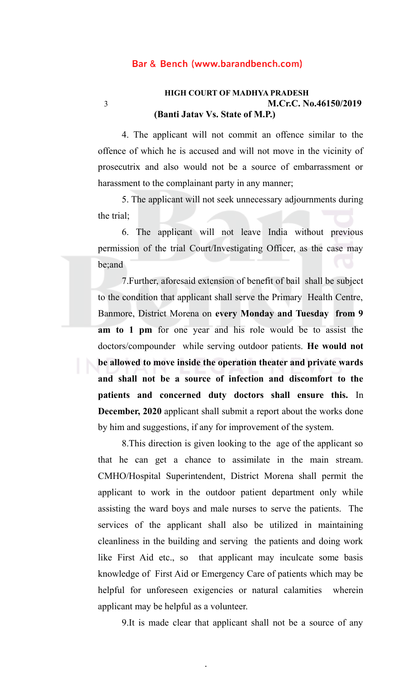# **HIGH COURT OF MADHYA PRADESH** 3 **M.Cr.C. No.46150/2019 (Banti Jatav Vs. State of M.P.)**

4. The applicant will not commit an offence similar to the offence of which he is accused and will not move in the vicinity of prosecutrix and also would not be a source of embarrassment or harassment to the complainant party in any manner;

5. The applicant will not seek unnecessary adjournments during the trial;

6. The applicant will not leave India without previous permission of the trial Court/Investigating Officer, as the case may be;and

7.Further, aforesaid extension of benefit of bail shall be subject to the condition that applicant shall serve the Primary Health Centre, Banmore, District Morena on **every Monday and Tuesday from 9 am to 1 pm** for one year and his role would be to assist the doctors/compounder while serving outdoor patients. **He would not be allowed to move inside the operation theater and private wards and shall not be a source of infection and discomfort to the patients and concerned duty doctors shall ensure this.** In **December, 2020** applicant shall submit a report about the works done by him and suggestions, if any for improvement of the system.

8.This direction is given looking to the age of the applicant so that he can get a chance to assimilate in the main stream. CMHO/Hospital Superintendent, District Morena shall permit the applicant to work in the outdoor patient department only while assisting the ward boys and male nurses to serve the patients. The services of the applicant shall also be utilized in maintaining cleanliness in the building and serving the patients and doing work like First Aid etc., so that applicant may inculcate some basis knowledge of First Aid or Emergency Care of patients which may be helpful for unforeseen exigencies or natural calamities wherein applicant may be helpful as a volunteer.

9.It is made clear that applicant shall not be a source of any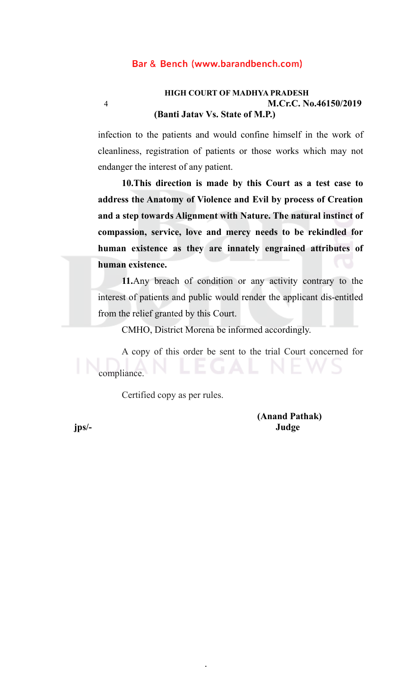# **HIGH COURT OF MADHYA PRADESH** 4 **M.Cr.C. No.46150/2019 (Banti Jatav Vs. State of M.P.)**

infection to the patients and would confine himself in the work of cleanliness, registration of patients or those works which may not endanger the interest of any patient.

**10.This direction is made by this Court as a test case to address the Anatomy of Violence and Evil by process of Creation and a step towards Alignment with Nature. The natural instinct of compassion, service, love and mercy needs to be rekindled for human existence as they are innately engrained attributes of human existence.**

**11.**Any breach of condition or any activity contrary to the interest of patients and public would render the applicant dis-entitled from the relief granted by this Court.

CMHO, District Morena be informed accordingly.

.

A copy of this order be sent to the trial Court concerned for compliance.

Certified copy as per rules.

**(Anand Pathak) jps/- Judge**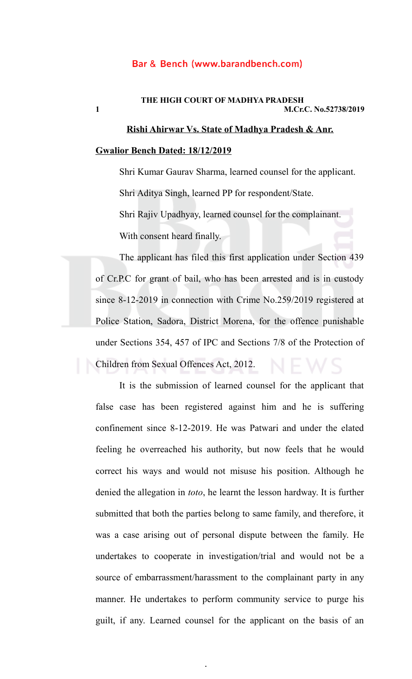# **THE HIGH COURT OF MADHYA PRADESH 1 M.Cr.C. No.52738/2019**

# **Rishi Ahirwar Vs. State of Madhya Pradesh & Anr. Gwalior Bench Dated: 18/12/2019**

Shri Kumar Gaurav Sharma, learned counsel for the applicant. Shri Aditya Singh, learned PP for respondent/State. Shri Rajiv Upadhyay, learned counsel for the complainant. With consent heard finally.

The applicant has filed this first application under Section 439 of Cr.P.C for grant of bail, who has been arrested and is in custody since 8-12-2019 in connection with Crime No.259/2019 registered at Police Station, Sadora, District Morena, for the offence punishable under Sections 354, 457 of IPC and Sections 7/8 of the Protection of Children from Sexual Offences Act, 2012.

It is the submission of learned counsel for the applicant that false case has been registered against him and he is suffering confinement since 8-12-2019. He was Patwari and under the elated feeling he overreached his authority, but now feels that he would correct his ways and would not misuse his position. Although he denied the allegation in *toto*, he learnt the lesson hardway. It is further submitted that both the parties belong to same family, and therefore, it was a case arising out of personal dispute between the family. He undertakes to cooperate in investigation/trial and would not be a source of embarrassment/harassment to the complainant party in any manner. He undertakes to perform community service to purge his guilt, if any. Learned counsel for the applicant on the basis of an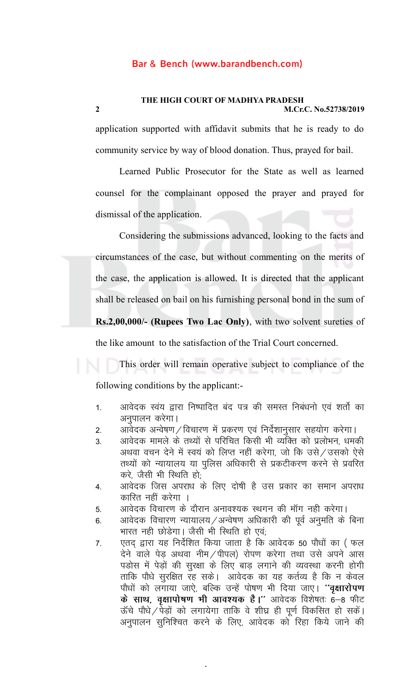**2 M.Cr.C. No.52738/2019**

application supported with affidavit submits that he is ready to do community service by way of blood donation. Thus, prayed for bail.

Learned Public Prosecutor for the State as well as learned counsel for the complainant opposed the prayer and prayed for dismissal of the application.

Considering the submissions advanced, looking to the facts and circumstances of the case, but without commenting on the merits of the case, the application is allowed. It is directed that the applicant shall be released on bail on his furnishing personal bond in the sum of **Rs.2,00,000/- (Rupees Two Lac Only)**, with two solvent sureties of the like amount to the satisfaction of the Trial Court concerned.

This order will remain operative subject to compliance of the following conditions by the applicant:-

- 1. आवेदक स्वंय द्वारा निष्पादित बंद पत्र की समस्त निबंधनो एवं शर्तो का अनुपालन करेगा।
- 2. अावेदक अन्वेषण/विचारण में प्रकरण एवं निर्देशानुसार सहयोग करेगा।
- 3. आवेदक मामले के तथ्यों से परिचित किसी भी व्यक्ति को प्रलोभन, धमकी अथवा वचन देने में स्वयं को लिप्त नहीं करेगा, जो कि उसे/उसको ऐसे तथ्यों को न्यायालय या पुलिस अधिकारी से प्रकटीकरण करने से प्रवरित करे, जैसी भी स्थिति हो,
- 4. आवेदक जिस अपराध के लिए दोषी है उस प्रकार का समान अपराध कारित नहीं करेगा ।
- 5. अावेदक विचारण के दौरान अनावश्यक स्थगन की मॉग नही करेगा।
- 6. अावेदक विचारण न्यायालय / अन्वेषण अधिकारी की पूर्व अनुमति के बिना भारत नही छोडेगा। जैसी भी स्थिति हो एवं,
- 7. एतद द्वारा यह निर्देशित किया जाता है कि आवेदक 50 पौधों का (फल देने वाले पेड़ अथवा नीम/पीपल) रोपण करेगा तथा उसे अपने आस पड़ोस में पेड़ों की सुरक्षा के लिए बाड़ लगाने की व्यवस्था करनी होगी ताकि पौधे सुरक्षित रह सके। आवेदक का यह कर्तव्य है कि न केवल पौधों को लगाया जाऐ, बल्कि उन्हें पोषण भी दिया जाए। "**वृक्षारोपण के साथ, वृक्षापोषण भी आवश्यक है।''** आवेदक विशेषतः 6–8 फीट  $\vec{a}$ के पौधे / पेड़ों को लगायेगा ताकि वे शीघ्र ही पूर्ण विकसित हो सकें। अनुपालन सुनिश्चित करने के लिए, आवेदक को रिहा किये जाने की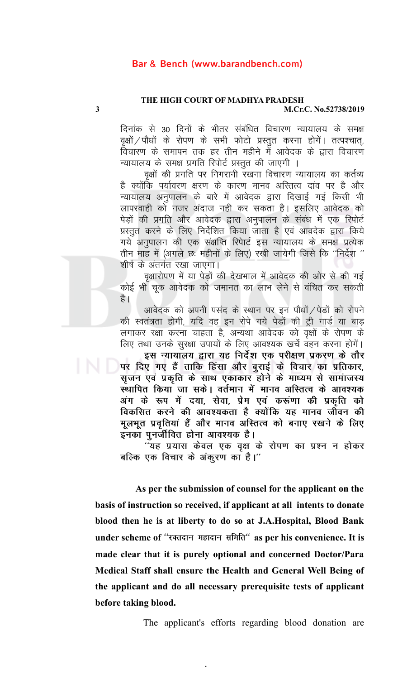# **THE HIGH COURT OF MADHYA PRADESH**

**3 M.Cr.C. No.52738/2019**

दिनांक से 30 दिनों के भीतर संबंधित विचारण न्यायालय के समक्ष वृक्षों / पौधों के रोपण के सभी फोटो प्रस्तुत करना होगें। तत्पश्चात्, विचारण के समापन तक हर तीन महीने में आवेदक के द्वारा विचारण न्यायालय के समक्ष प्रगति रिपोर्ट प्रस्तुत की जाएगी ।

वृक्षों की प्रगति पर निगरानी रखना विचारण न्यायालय का कर्तव्य है क्योंकि पर्यावरण क्षरण के कारण मानव अस्तित्व दांव पर है और न्यायालय अनुपालन के बारे में आवेदक द्वारा दिखाई गई किसी भी लापरवाही को नजर अंदाज नही कर सकता है। इसलिए आवेदक को पेड़ों की प्रगति और आवेदक द्वारा अनुपालन के संबंध में एक रिपोर्ट प्रस्तुत करने के लिए निर्देशित किया जाता है एवं आवदेक द्वारा किये गये अनुपालन की एक संक्षप्ति रिपेार्ट इस न्यायालय के समक्ष प्रत्येक तीन माह में (अगले छः महीनों के लिए) रखी जायेगी जिसे कि "निर्देश " शीर्ष के अंतर्गत रखा जाएगा।

वृक्षारोपण में या पेड़ों की देखभाल में आवेदक की ओर से की गई कोई भी चूक आवेदक को जमानत का लाभ लेने से वंचित कर सकती है ।

आवेदक को अपनी पसंद के स्थान पर इन पौधों / पेडों को रोपने की स्वतंत्रता होगी, यदि वह इन रोपे गये पेडों की ट्री गार्ड या बाड़ लगाकर रक्षा करना चाहता है, अन्यथा आवेदक को वृक्षों के रोपण के लिए तथा उनके सुरक्षा उपायों के लिए आवश्यक खर्च वहन करना होगें। इस न्यायालय द्वारा यह निर्देश एक परीक्षण प्रकरण के तौर

पर दिए गए हैं ताकि हिंसा और बुराई के विचार का प्रतिकार, सृजन एवं प्रकृति के साथ एकाकार होने के माध्यम से सामं**ाजस्य** स्थापित किया जा सके। वर्तमान में मानव अस्तित्व के आवश्यक अंग के रूप में दया, सेवा, प्रेम एवं करूंणा की प्रकृति **को** विकसित करने की आवश्यकता है क्योंकि यह मानव जीवन की मूलभूत प्रवृतियां हैं और मानव अस्तित्व को बनाए रखने के लिए इनका पुनर्जीवित होना आवश्यक **है**।

<u>''यह प्रयास केवल एक वृक्ष के रोपण का प्रश्न न होकर</u> बल्कि एक विचार के अंकूरण का है।''

 **As per the submission of counsel for the applicant on the basis of instruction so received, if applicant at all intents to donate blood then he is at liberty to do so at J.A.Hospital, Blood Bank** under scheme of "रक्तदान महादान समिति" as per his convenience. It is **made clear that it is purely optional and concerned Doctor/Para Medical Staff shall ensure the Health and General Well Being of the applicant and do all necessary prerequisite tests of applicant before taking blood.** 

.

The applicant's efforts regarding blood donation are